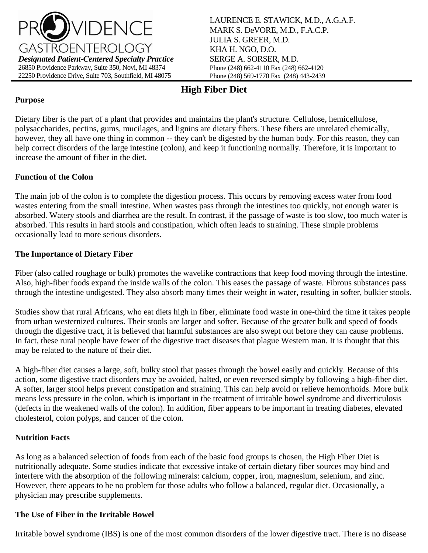

LAURENCE E. STAWICK, M.D., A.G.A.F. MARK S. DeVORE, M.D., F.A.C.P. JULIA S. GREER, M.D. KHA H. NGO, D.O. SERGE A. SORSER, M.D. Phone (248) 662-4110 Fax (248) 662-4120 Phone (248) 569-1770 Fax (248) 443-2439

# **High Fiber Diet**

## **Purpose**

Dietary fiber is the part of a plant that provides and maintains the plant's structure. Cellulose, hemicellulose, polysaccharides, pectins, gums, mucilages, and lignins are dietary fibers. These fibers are unrelated chemically, however, they all have one thing in common -- they can't be digested by the human body. For this reason, they can help correct disorders of the large intestine (colon), and keep it functioning normally. Therefore, it is important to increase the amount of fiber in the diet.

## **Function of the Colon**

The main job of the colon is to complete the digestion process. This occurs by removing excess water from food wastes entering from the small intestine. When wastes pass through the intestines too quickly, not enough water is absorbed. Watery stools and diarrhea are the result. In contrast, if the passage of waste is too slow, too much water is absorbed. This results in hard stools and constipation, which often leads to straining. These simple problems occasionally lead to more serious disorders.

## **The Importance of Dietary Fiber**

Fiber (also called roughage or bulk) promotes the wavelike contractions that keep food moving through the intestine. Also, high-fiber foods expand the inside walls of the colon. This eases the passage of waste. Fibrous substances pass through the intestine undigested. They also absorb many times their weight in water, resulting in softer, bulkier stools.

Studies show that rural Africans, who eat diets high in fiber, eliminate food waste in one-third the time it takes people from urban westernized cultures. Their stools are larger and softer. Because of the greater bulk and speed of foods through the digestive tract, it is believed that harmful substances are also swept out before they can cause problems. In fact, these rural people have fewer of the digestive tract diseases that plague Western man. It is thought that this may be related to the nature of their diet.

A high-fiber diet causes a large, soft, bulky stool that passes through the bowel easily and quickly. Because of this action, some digestive tract disorders may be avoided, halted, or even reversed simply by following a high-fiber diet. A softer, larger stool helps prevent constipation and straining. This can help avoid or relieve hemorrhoids. More bulk means less pressure in the colon, which is important in the treatment of irritable bowel syndrome and diverticulosis (defects in the weakened walls of the colon). In addition, fiber appears to be important in treating diabetes, elevated cholesterol, colon polyps, and cancer of the colon.

## **Nutrition Facts**

As long as a balanced selection of foods from each of the basic food groups is chosen, the High Fiber Diet is nutritionally adequate. Some studies indicate that excessive intake of certain dietary fiber sources may bind and interfere with the absorption of the following minerals: calcium, copper, iron, magnesium, selenium, and zinc. However, there appears to be no problem for those adults who follow a balanced, regular diet. Occasionally, a physician may prescribe supplements.

## **The Use of Fiber in the Irritable Bowel**

Irritable bowel syndrome (IBS) is one of the most common disorders of the lower digestive tract. There is no disease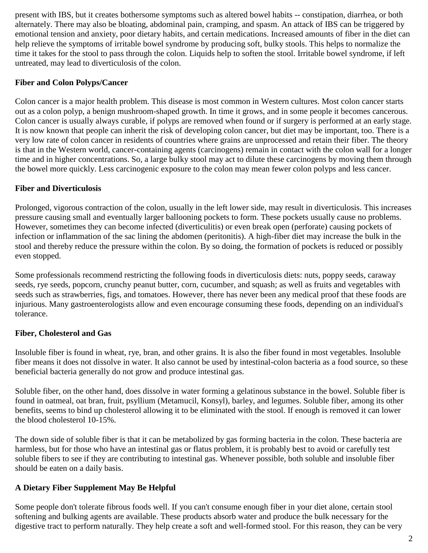present with IBS, but it creates bothersome symptoms such as altered bowel habits -- constipation, diarrhea, or both alternately. There may also be bloating, abdominal pain, cramping, and spasm. An attack of IBS can be triggered by emotional tension and anxiety, poor dietary habits, and certain medications. Increased amounts of fiber in the diet can help relieve the symptoms of irritable bowel syndrome by producing soft, bulky stools. This helps to normalize the time it takes for the stool to pass through the colon. Liquids help to soften the stool. Irritable bowel syndrome, if left untreated, may lead to diverticulosis of the colon.

# **Fiber and Colon Polyps/Cancer**

Colon cancer is a major health problem. This disease is most common in Western cultures. Most colon cancer starts out as a colon polyp, a benign mushroom-shaped growth. In time it grows, and in some people it becomes cancerous. Colon cancer is usually always curable, if polyps are removed when found or if surgery is performed at an early stage. It is now known that people can inherit the risk of developing colon cancer, but diet may be important, too. There is a very low rate of colon cancer in residents of countries where grains are unprocessed and retain their fiber. The theory is that in the Western world, cancer-containing agents (carcinogens) remain in contact with the colon wall for a longer time and in higher concentrations. So, a large bulky stool may act to dilute these carcinogens by moving them through the bowel more quickly. Less carcinogenic exposure to the colon may mean fewer colon polyps and less cancer.

# **Fiber and Diverticulosis**

Prolonged, vigorous contraction of the colon, usually in the left lower side, may result in diverticulosis. This increases pressure causing small and eventually larger ballooning pockets to form. These pockets usually cause no problems. However, sometimes they can become infected (diverticulitis) or even break open (perforate) causing pockets of infection or inflammation of the sac lining the abdomen (peritonitis). A high-fiber diet may increase the bulk in the stool and thereby reduce the pressure within the colon. By so doing, the formation of pockets is reduced or possibly even stopped.

Some professionals recommend restricting the following foods in diverticulosis diets: nuts, poppy seeds, caraway seeds, rye seeds, popcorn, crunchy peanut butter, corn, cucumber, and squash; as well as fruits and vegetables with seeds such as strawberries, figs, and tomatoes. However, there has never been any medical proof that these foods are injurious. Many gastroenterologists allow and even encourage consuming these foods, depending on an individual's tolerance.

## **Fiber, Cholesterol and Gas**

Insoluble fiber is found in wheat, rye, bran, and other grains. It is also the fiber found in most vegetables. Insoluble fiber means it does not dissolve in water. It also cannot be used by intestinal-colon bacteria as a food source, so these beneficial bacteria generally do not grow and produce intestinal gas.

Soluble fiber, on the other hand, does dissolve in water forming a gelatinous substance in the bowel. Soluble fiber is found in oatmeal, oat bran, fruit, psyllium (Metamucil, Konsyl), barley, and legumes. Soluble fiber, among its other benefits, seems to bind up cholesterol allowing it to be eliminated with the stool. If enough is removed it can lower the blood cholesterol 10-15%.

The down side of soluble fiber is that it can be metabolized by gas forming bacteria in the colon. These bacteria are harmless, but for those who have an intestinal gas or flatus problem, it is probably best to avoid or carefully test soluble fibers to see if they are contributing to intestinal gas. Whenever possible, both soluble and insoluble fiber should be eaten on a daily basis.

# **A Dietary Fiber Supplement May Be Helpful**

Some people don't tolerate fibrous foods well. If you can't consume enough fiber in your diet alone, certain stool softening and bulking agents are available. These products absorb water and produce the bulk necessary for the digestive tract to perform naturally. They help create a soft and well-formed stool. For this reason, they can be very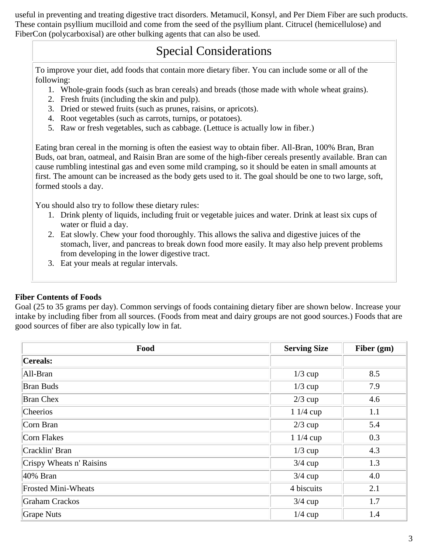useful in preventing and treating digestive tract disorders. Metamucil, Konsyl, and Per Diem Fiber are such products. These contain psyllium mucilloid and come from the seed of the psyllium plant. Citrucel (hemicellulose) and FiberCon (polycarboxisal) are other bulking agents that can also be used.

# Special Considerations

To improve your diet, add foods that contain more dietary fiber. You can include some or all of the following:

- 1. Whole-grain foods (such as bran cereals) and breads (those made with whole wheat grains).
- 2. Fresh fruits (including the skin and pulp).
- 3. Dried or stewed fruits (such as prunes, raisins, or apricots).
- 4. Root vegetables (such as carrots, turnips, or potatoes).
- 5. Raw or fresh vegetables, such as cabbage. (Lettuce is actually low in fiber.)

Eating bran cereal in the morning is often the easiest way to obtain fiber. All-Bran, 100% Bran, Bran Buds, oat bran, oatmeal, and Raisin Bran are some of the high-fiber cereals presently available. Bran can cause rumbling intestinal gas and even some mild cramping, so it should be eaten in small amounts at first. The amount can be increased as the body gets used to it. The goal should be one to two large, soft, formed stools a day.

You should also try to follow these dietary rules:

- 1. Drink plenty of liquids, including fruit or vegetable juices and water. Drink at least six cups of water or fluid a day.
- 2. Eat slowly. Chew your food thoroughly. This allows the saliva and digestive juices of the stomach, liver, and pancreas to break down food more easily. It may also help prevent problems from developing in the lower digestive tract.
- 3. Eat your meals at regular intervals.

# **Fiber Contents of Foods**

Goal (25 to 35 grams per day). Common servings of foods containing dietary fiber are shown below. Increase your intake by including fiber from all sources. (Foods from meat and dairy groups are not good sources.) Foods that are good sources of fiber are also typically low in fat.

| Food                       | <b>Serving Size</b> | Fiber (gm) |
|----------------------------|---------------------|------------|
| Cereals:                   |                     |            |
| All-Bran                   | $1/3$ cup           | 8.5        |
| <b>Bran Buds</b>           | $1/3$ cup           | 7.9        |
| <b>Bran Chex</b>           | $2/3$ cup           | 4.6        |
| Cheerios                   | $11/4$ cup          | 1.1        |
| Corn Bran                  | $2/3$ cup           | 5.4        |
| Corn Flakes                | $11/4$ cup          | 0.3        |
| Cracklin' Bran             | $1/3$ cup           | 4.3        |
| Crispy Wheats n' Raisins   | $3/4$ cup           | 1.3        |
| 40% Bran                   | $3/4$ cup           | 4.0        |
| <b>Frosted Mini-Wheats</b> | 4 biscuits          | 2.1        |
| <b>Graham Crackos</b>      | $3/4$ cup           | 1.7        |
| <b>Grape Nuts</b>          | $1/4$ cup           | 1.4        |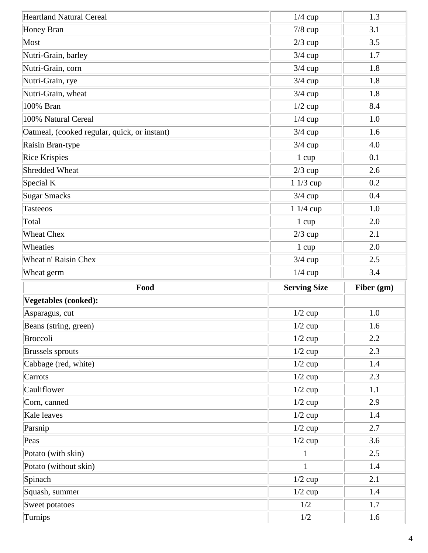| <b>Heartland Natural Cereal</b>              | 1.3<br>$1/4$ cup       |            |
|----------------------------------------------|------------------------|------------|
| <b>Honey Bran</b>                            | 3.1<br>$7/8$ cup       |            |
| Most                                         | 3.5<br>$2/3$ cup       |            |
| Nutri-Grain, barley                          | $3/4$ cup<br>1.7       |            |
| Nutri-Grain, corn                            | $3/4$ cup<br>1.8       |            |
| Nutri-Grain, rye                             | $3/4$ cup              | 1.8        |
| Nutri-Grain, wheat                           | $3/4$ cup<br>1.8       |            |
| 100% Bran                                    | 8.4<br>$1/2$ cup       |            |
| 100% Natural Cereal                          | $1/4$ cup              | 1.0        |
| Oatmeal, (cooked regular, quick, or instant) | 1.6<br>$3/4$ cup       |            |
| Raisin Bran-type                             | $3/4$ cup              | 4.0        |
| <b>Rice Krispies</b>                         | 0.1<br>$1 \text{ cup}$ |            |
| Shredded Wheat                               | $2/3$ cup<br>2.6       |            |
| Special K                                    | 1 1/3 cup<br>0.2       |            |
| <b>Sugar Smacks</b>                          | $3/4$ cup<br>0.4       |            |
| <b>Tasteeos</b>                              | 1 1/4 cup<br>1.0       |            |
| Total                                        | 2.0<br>$1 \text{ cup}$ |            |
| <b>Wheat Chex</b>                            | $2/3$ cup<br>2.1       |            |
| Wheaties                                     | 2.0<br>$1 \text{ cup}$ |            |
| Wheat n' Raisin Chex                         | $3/4$ cup              | 2.5        |
|                                              |                        |            |
| Wheat germ                                   | $1/4$ cup              | 3.4        |
| Food                                         | <b>Serving Size</b>    | Fiber (gm) |
| <b>Vegetables (cooked):</b>                  |                        |            |
| Asparagus, cut                               | $1/2$ cup              | 1.0        |
| Beans (string, green)                        | $1/2$ cup              | 1.6        |
| Broccoli                                     | $1/2$ cup              | 2.2        |
| <b>Brussels</b> sprouts                      | $1/2$ cup              | 2.3        |
| Cabbage (red, white)                         | $1/2$ cup              | 1.4        |
| Carrots                                      | $1/2$ cup              | 2.3        |
| Cauliflower                                  | $1/2$ cup              | 1.1        |
| Corn, canned                                 | $1/2$ cup              | 2.9        |
| Kale leaves                                  | $1/2$ cup              | 1.4        |
| Parsnip                                      | $1/2$ cup              | 2.7        |
| Peas                                         | $1/2$ cup              | 3.6        |
| Potato (with skin)                           | $\mathbf{1}$           | 2.5        |
| Potato (without skin)                        | $\mathbf{1}$           | 1.4        |
| Spinach                                      | $1/2$ cup              | 2.1        |
| Squash, summer                               | $1/2$ cup              | 1.4        |
| Sweet potatoes                               | 1/2                    | 1.7        |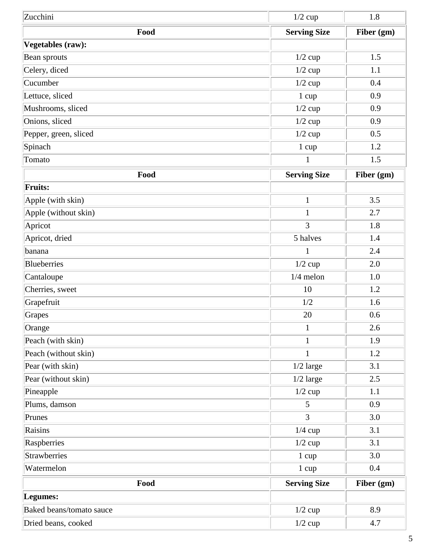| Zucchini                 | 1.8<br>$1/2$ cup      |            |
|--------------------------|-----------------------|------------|
| Food                     | <b>Serving Size</b>   | Fiber (gm) |
| <b>Vegetables (raw):</b> |                       |            |
| Bean sprouts             | $1/2$ cup             | 1.5        |
| Celery, diced            | $1/2$ cup             | 1.1        |
| Cucumber                 | $1/2$ cup             | 0.4        |
| Lettuce, sliced          | 0.9<br>1 cup          |            |
| Mushrooms, sliced        | 0.9<br>$1/2$ cup      |            |
| Onions, sliced           | 0.9<br>$1/2$ cup      |            |
| Pepper, green, sliced    | $1/2$ cup<br>0.5      |            |
| Spinach                  | 1.2<br>1 cup          |            |
| Tomato                   | $\mathbf{1}$          | 1.5        |
| Food                     | <b>Serving Size</b>   | Fiber (gm) |
| <b>Fruits:</b>           |                       |            |
| Apple (with skin)        | $\mathbf{1}$          | 3.5        |
| Apple (without skin)     | $\mathbf{1}$          | 2.7        |
| Apricot                  | 3                     | 1.8        |
| Apricot, dried           | 5 halves              | 1.4        |
| banana                   | $\mathbf{1}$          | 2.4        |
| <b>Blueberries</b>       | $1/2$ cup             | 2.0        |
| Cantaloupe               | $1/4$ melon           | 1.0        |
| Cherries, sweet          | 10<br>1.2             |            |
| Grapefruit               | 1/2<br>1.6            |            |
| Grapes                   | 20<br>0.6             |            |
| Orange                   | 2.6<br>$\mathbf{1}$   |            |
| Peach (with skin)        | $\mathbf{1}$<br>1.9   |            |
| Peach (without skin)     | $\mathbf{1}$<br>1.2   |            |
| Pear (with skin)         | $1/2$ large<br>3.1    |            |
| Pear (without skin)      | $1/2$ large<br>2.5    |            |
| Pineapple                | $1/2$ cup<br>1.1      |            |
| Plums, damson            | 0.9<br>5              |            |
| Prunes                   | $\overline{3}$<br>3.0 |            |
| Raisins                  | $1/4$ cup<br>3.1      |            |
| Raspberries              | 3.1<br>$1/2$ cup      |            |
| Strawberries             | 3.0<br>1 cup          |            |
| Watermelon               | 0.4<br>1 cup          |            |
| Food                     | <b>Serving Size</b>   | Fiber (gm) |
| Legumes:                 |                       |            |
| Baked beans/tomato sauce | $1/2$ cup             | 8.9        |
| Dried beans, cooked      | $1/2$ cup<br>4.7      |            |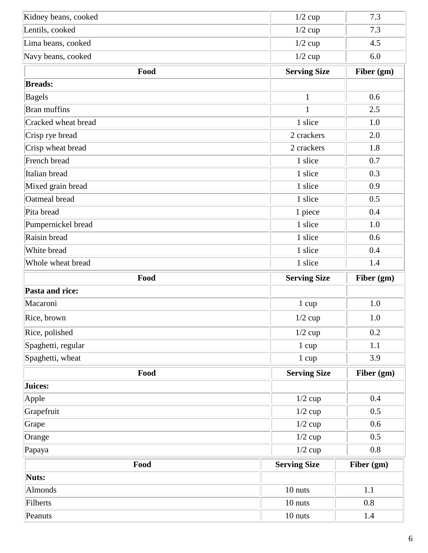| Kidney beans, cooked          | 7.3<br>$1/2$ cup    |            |
|-------------------------------|---------------------|------------|
| Lentils, cooked               | 7.3<br>$1/2$ cup    |            |
| Lima beans, cooked            | 4.5<br>$1/2$ cup    |            |
| Navy beans, cooked            | 6.0<br>$1/2$ cup    |            |
| <b>Serving Size</b><br>Food   |                     | Fiber (gm) |
| <b>Breads:</b>                |                     |            |
| <b>Bagels</b>                 | $\mathbf{1}$        |            |
| <b>Bran muffins</b>           | 2.5<br>$\mathbf{1}$ |            |
| Cracked wheat bread           | 1 slice<br>1.0      |            |
| Crisp rye bread               | 2 crackers          |            |
| Crisp wheat bread             | 2 crackers          |            |
| French bread                  | 1 slice             |            |
| Italian bread                 | 1 slice<br>0.3      |            |
| Mixed grain bread<br>1 slice  |                     | 0.9        |
| Oatmeal bread<br>1 slice      |                     | 0.5        |
| Pita bread<br>1 piece         |                     | 0.4        |
| Pumpernickel bread<br>1 slice |                     | 1.0        |
| Raisin bread<br>1 slice       |                     | 0.6        |
| White bread                   | 1 slice             | 0.4        |
|                               |                     |            |
| Whole wheat bread             | 1 slice             | 1.4        |
| Food                          | <b>Serving Size</b> | Fiber (gm) |
| Pasta and rice:               |                     |            |
| Macaroni                      | $1 \text{ cup}$     | 1.0        |
| Rice, brown                   | $1/2$ cup           | 1.0        |
| Rice, polished                | $1/2$ cup           | 0.2        |
| Spaghetti, regular            | 1 cup               | 1.1        |
| Spaghetti, wheat              | 1 cup               | 3.9        |
| Food                          | <b>Serving Size</b> | Fiber (gm) |
| Juices:                       |                     |            |
| Apple                         | $1/2$ cup           | 0.4        |
| Grapefruit                    | $1/2$ cup           | 0.5        |
| Grape                         | $1/2$ cup           | 0.6        |
| Orange                        | $1/2$ cup           | 0.5        |
| Papaya                        | $1/2$ cup           | 0.8        |
| Food                          | <b>Serving Size</b> | Fiber (gm) |
| Nuts:                         |                     |            |
| Almonds                       | 10 nuts             | 1.1        |
| Filberts                      | 10 nuts             | 0.8        |